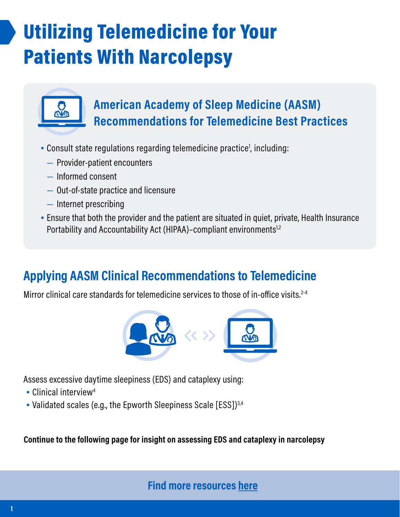## Utilizing Telemedicine for Your Patients With Narcolepsy



### **American Academy of Sleep Medicine (AASM) Recommendations for Telemedicine Best Practices**

- Consult state regulations regarding telemedicine practice<sup>1</sup>, including:
	- Provider-patient encounters
	- Informed consent
	- Out-of-state practice and licensure
	- Internet prescribing
- Ensure that both the provider and the patient are situated in quiet, private, Health Insurance Portability and Accountability Act (HIPAA)-compliant environments<sup>1,2</sup>

### **Applying AASM Clinical Recommendations to Telemedicine**

Mirror clinical care standards for telemedicine services to those of in-office visits. $2-4$ 



Assess excessive daytime sleepiness (EDS) and cataplexy using:

- Clinical interview<sup>4</sup>
- Validated scales (e.g., the Epworth Sleepiness Scale [ESS])<sup>3,4</sup>

**Continue to the following page for insight on assessing EDS and cataplexy in narcolepsy**

**[Find more resources here](https://wakixhcp.com/resource-center/)**